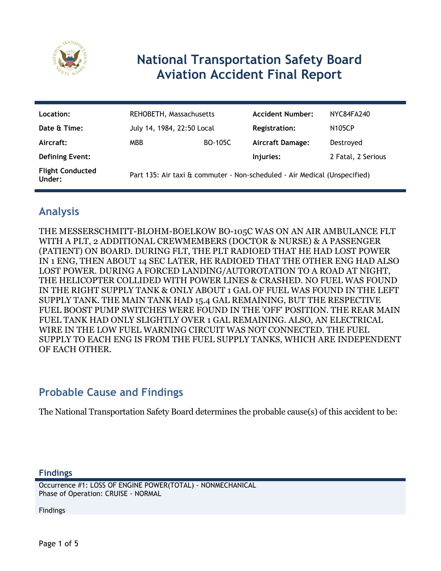

# **National Transportation Safety Board Aviation Accident Final Report**

| Location:                         | REHOBETH, Massachusetts                                                   |                | <b>Accident Number:</b> | NYC84FA240         |
|-----------------------------------|---------------------------------------------------------------------------|----------------|-------------------------|--------------------|
| Date & Time:                      | July 14, 1984, 22:50 Local                                                |                | <b>Registration:</b>    | <b>N105CP</b>      |
| Aircraft:                         | <b>MBB</b>                                                                | <b>BO-105C</b> | <b>Aircraft Damage:</b> | Destroyed          |
| <b>Defining Event:</b>            |                                                                           |                | Injuries:               | 2 Fatal, 2 Serious |
| <b>Flight Conducted</b><br>Under: | Part 135: Air taxi & commuter - Non-scheduled - Air Medical (Unspecified) |                |                         |                    |

## **Analysis**

THE MESSERSCHMITT-BLOHM-BOELKOW BO-105C WAS ON AN AIR AMBULANCE FLT WITH A PLT, 2 ADDITIONAL CREWMEMBERS (DOCTOR & NURSE) & A PASSENGER (PATIENT) ON BOARD. DURING FLT, THE PLT RADIOED THAT HE HAD LOST POWER IN 1 ENG, THEN ABOUT 14 SEC LATER, HE RADIOED THAT THE OTHER ENG HAD ALSO LOST POWER. DURING A FORCED LANDING/AUTOROTATION TO A ROAD AT NIGHT, THE HELICOPTER COLLIDED WITH POWER LINES & CRASHED. NO FUEL WAS FOUND IN THE RIGHT SUPPLY TANK & ONLY ABOUT 1 GAL OF FUEL WAS FOUND IN THE LEFT SUPPLY TANK. THE MAIN TANK HAD 15.4 GAL REMAINING, BUT THE RESPECTIVE FUEL BOOST PUMP SWITCHES WERE FOUND IN THE 'OFF' POSITION. THE REAR MAIN FUEL TANK HAD ONLY SLIGHTLY OVER 1 GAL REMAINING. ALSO, AN ELECTRICAL WIRE IN THE LOW FUEL WARNING CIRCUIT WAS NOT CONNECTED. THE FUEL SUPPLY TO EACH ENG IS FROM THE FUEL SUPPLY TANKS, WHICH ARE INDEPENDENT OF EACH OTHER.

### **Probable Cause and Findings**

The National Transportation Safety Board determines the probable cause(s) of this accident to be:

#### **Findings**

Occurrence #1: LOSS OF ENGINE POWER(TOTAL) - NONMECHANICAL Phase of Operation: CRUISE - NORMAL

Findings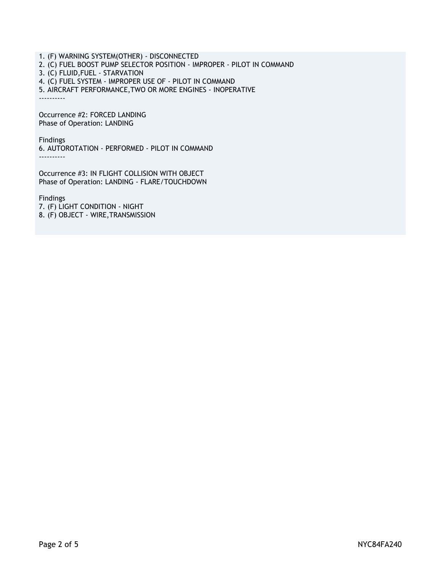1. (F) WARNING SYSTEM(OTHER) - DISCONNECTED 2. (C) FUEL BOOST PUMP SELECTOR POSITION - IMPROPER - PILOT IN COMMAND 3. (C) FLUID,FUEL - STARVATION 4. (C) FUEL SYSTEM - IMPROPER USE OF - PILOT IN COMMAND 5. AIRCRAFT PERFORMANCE,TWO OR MORE ENGINES - INOPERATIVE ----------

Occurrence #2: FORCED LANDING Phase of Operation: LANDING

Findings

6. AUTOROTATION - PERFORMED - PILOT IN COMMAND ----------

Occurrence #3: IN FLIGHT COLLISION WITH OBJECT Phase of Operation: LANDING - FLARE/TOUCHDOWN

Findings 7. (F) LIGHT CONDITION - NIGHT 8. (F) OBJECT - WIRE,TRANSMISSION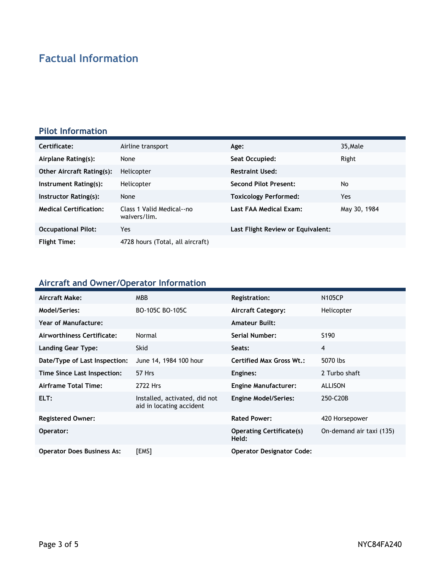## **Factual Information**

#### **Pilot Information**

| Certificate:                     | Airline transport                         | Age:                              | 35, Male     |
|----------------------------------|-------------------------------------------|-----------------------------------|--------------|
| Airplane Rating(s):              | None                                      | Seat Occupied:                    | Right        |
| <b>Other Aircraft Rating(s):</b> | Helicopter                                | <b>Restraint Used:</b>            |              |
| Instrument Rating(s):            | Helicopter                                | <b>Second Pilot Present:</b>      | No           |
| Instructor Rating(s):            | None                                      | <b>Toxicology Performed:</b>      | Yes          |
| <b>Medical Certification:</b>    | Class 1 Valid Medical--no<br>waivers/lim. | Last FAA Medical Exam:            | May 30, 1984 |
| <b>Occupational Pilot:</b>       | Yes                                       | Last Flight Review or Equivalent: |              |
| <b>Flight Time:</b>              | 4728 hours (Total, all aircraft)          |                                   |              |

### **Aircraft and Owner/Operator Information**

| Aircraft Make:                    | <b>MBB</b>                                                | <b>Registration:</b>                     | <b>N105CP</b>            |
|-----------------------------------|-----------------------------------------------------------|------------------------------------------|--------------------------|
| Model/Series:                     | BO-105C BO-105C                                           | <b>Aircraft Category:</b>                | Helicopter               |
| Year of Manufacture:              |                                                           | <b>Amateur Built:</b>                    |                          |
| Airworthiness Certificate:        | Normal                                                    | Serial Number:                           | S <sub>190</sub>         |
| Landing Gear Type:                | <b>Skid</b>                                               | Seats:                                   | 4                        |
| Date/Type of Last Inspection:     | June 14, 1984 100 hour                                    | Certified Max Gross Wt.:                 | 5070 lbs                 |
| Time Since Last Inspection:       | 57 Hrs                                                    | Engines:                                 | 2 Turbo shaft            |
| Airframe Total Time:              | 2722 Hrs                                                  | <b>Engine Manufacturer:</b>              | <b>ALLISON</b>           |
| ELT:                              | Installed, activated, did not<br>aid in locating accident | <b>Engine Model/Series:</b>              | 250-C20B                 |
| <b>Registered Owner:</b>          |                                                           | <b>Rated Power:</b>                      | 420 Horsepower           |
| Operator:                         |                                                           | <b>Operating Certificate(s)</b><br>Held: | On-demand air taxi (135) |
| <b>Operator Does Business As:</b> | [EMS]                                                     | <b>Operator Designator Code:</b>         |                          |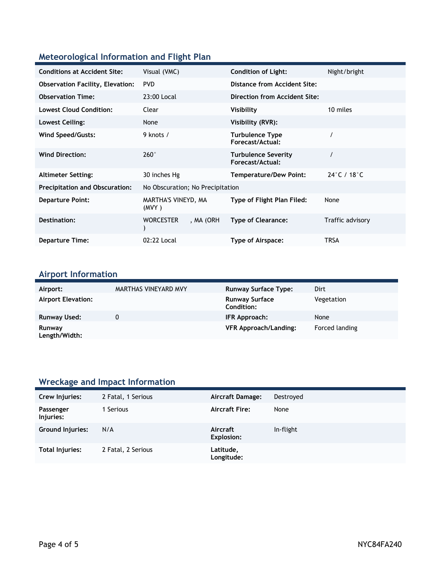### **Meteorological Information and Flight Plan**

| <b>Conditions at Accident Site:</b>     | Visual (VMC)                     | <b>Condition of Light:</b>                     | Night/bright                     |
|-----------------------------------------|----------------------------------|------------------------------------------------|----------------------------------|
| <b>Observation Facility, Elevation:</b> | <b>PVD</b>                       | Distance from Accident Site:                   |                                  |
| <b>Observation Time:</b>                | 23:00 Local                      | Direction from Accident Site:                  |                                  |
| <b>Lowest Cloud Condition:</b>          | Clear                            | Visibility                                     | 10 miles                         |
| <b>Lowest Ceiling:</b>                  | None                             | Visibility (RVR):                              |                                  |
| Wind Speed/Gusts:                       | 9 knots /                        | <b>Turbulence Type</b><br>Forecast/Actual:     |                                  |
| <b>Wind Direction:</b>                  | $260^\circ$                      | <b>Turbulence Severity</b><br>Forecast/Actual: |                                  |
| <b>Altimeter Setting:</b>               | 30 inches Hg                     | <b>Temperature/Dew Point:</b>                  | $24^{\circ}$ C / 18 $^{\circ}$ C |
| <b>Precipitation and Obscuration:</b>   | No Obscuration; No Precipitation |                                                |                                  |
| <b>Departure Point:</b>                 | MARTHA'S VINEYD, MA<br>(MVY)     | Type of Flight Plan Filed:                     | None                             |
| Destination:                            | <b>WORCESTER</b><br>, MA (ORH    | <b>Type of Clearance:</b>                      | Traffic advisory                 |
| <b>Departure Time:</b>                  | 02:22 Local                      | Type of Airspace:                              | TRSA                             |

## **Airport Information**

| Airport:                  | MARTHAS VINEYARD MVY | <b>Runway Surface Type:</b>                | Dirt           |
|---------------------------|----------------------|--------------------------------------------|----------------|
| <b>Airport Elevation:</b> |                      | <b>Runway Surface</b><br><b>Condition:</b> | Vegetation     |
| <b>Runway Used:</b>       | 0                    | IFR Approach:                              | None           |
| Runway<br>Length/Width:   |                      | <b>VFR Approach/Landing:</b>               | Forced landing |

### **Wreckage and Impact Information**

| Crew Injuries:         | 2 Fatal, 1 Serious | <b>Aircraft Damage:</b> | Destroyed |
|------------------------|--------------------|-------------------------|-----------|
| Passenger<br>Injuries: | Serious            | <b>Aircraft Fire:</b>   | None      |
| Ground Injuries:       | N/A                | Aircraft<br>Explosion:  | In-flight |
| Total Injuries:        | 2 Fatal, 2 Serious | Latitude,<br>Longitude: |           |